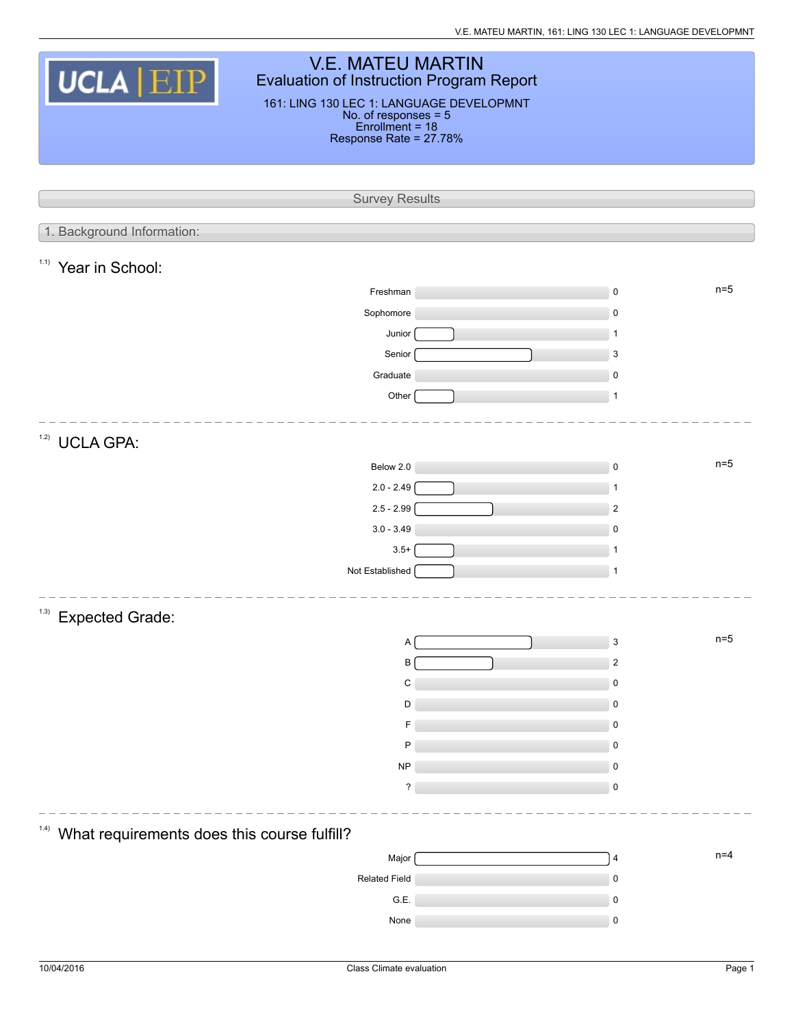V.E. MATEU MARTIN, 161: LING 130 LEC 1: LANGUAGE DEVELOPMNT

| <b>V.E. MATEU MARTIN</b><br>UCLA EIP<br><b>Evaluation of Instruction Program Report</b><br>161: LING 130 LEC 1: LANGUAGE DEVELOPMNT<br>No. of responses = 5<br>Enrollment = 18 |                        |  |                |       |  |  |  |  |
|--------------------------------------------------------------------------------------------------------------------------------------------------------------------------------|------------------------|--|----------------|-------|--|--|--|--|
|                                                                                                                                                                                | Response Rate = 27.78% |  |                |       |  |  |  |  |
|                                                                                                                                                                                |                        |  |                |       |  |  |  |  |
|                                                                                                                                                                                |                        |  |                |       |  |  |  |  |
|                                                                                                                                                                                | <b>Survey Results</b>  |  |                |       |  |  |  |  |
| 1. Background Information:                                                                                                                                                     |                        |  |                |       |  |  |  |  |
|                                                                                                                                                                                |                        |  |                |       |  |  |  |  |
| 1.1)<br>Year in School:                                                                                                                                                        |                        |  |                |       |  |  |  |  |
|                                                                                                                                                                                | Freshman               |  | $\mathsf 0$    | $n=5$ |  |  |  |  |
|                                                                                                                                                                                | Sophomore              |  | 0              |       |  |  |  |  |
|                                                                                                                                                                                | Junior                 |  | $\mathbf{1}$   |       |  |  |  |  |
|                                                                                                                                                                                | Senior                 |  | 3              |       |  |  |  |  |
|                                                                                                                                                                                | Graduate               |  | $\mathsf 0$    |       |  |  |  |  |
|                                                                                                                                                                                | Other                  |  | $\mathbf{1}$   |       |  |  |  |  |
| 1.2)<br><b>UCLA GPA:</b>                                                                                                                                                       |                        |  |                |       |  |  |  |  |
|                                                                                                                                                                                | Below 2.0              |  | $\mathsf 0$    | $n=5$ |  |  |  |  |
|                                                                                                                                                                                | $2.0 - 2.49$           |  | $\mathbf{1}$   |       |  |  |  |  |
|                                                                                                                                                                                | $2.5 - 2.99$           |  | $\sqrt{2}$     |       |  |  |  |  |
|                                                                                                                                                                                | $3.0 - 3.49$           |  | $\mathsf 0$    |       |  |  |  |  |
|                                                                                                                                                                                | $3.5+$                 |  | $\mathbf 1$    |       |  |  |  |  |
|                                                                                                                                                                                | Not Established        |  | $\mathbf 1$    |       |  |  |  |  |
|                                                                                                                                                                                |                        |  |                |       |  |  |  |  |
| (1.3)<br><b>Expected Grade:</b>                                                                                                                                                |                        |  |                |       |  |  |  |  |
|                                                                                                                                                                                | А                      |  | 3              | $n=5$ |  |  |  |  |
|                                                                                                                                                                                | В                      |  | $\overline{2}$ |       |  |  |  |  |
|                                                                                                                                                                                | C                      |  | $\mathsf 0$    |       |  |  |  |  |
|                                                                                                                                                                                | D                      |  | $\mathsf 0$    |       |  |  |  |  |
|                                                                                                                                                                                |                        |  | 0              |       |  |  |  |  |
|                                                                                                                                                                                | P                      |  | $\mathsf 0$    |       |  |  |  |  |
|                                                                                                                                                                                | <b>NP</b>              |  | 0              |       |  |  |  |  |
|                                                                                                                                                                                | ?                      |  | $\mathsf 0$    |       |  |  |  |  |
| (1.4)<br>What requirements does this course fulfill?                                                                                                                           |                        |  |                |       |  |  |  |  |
|                                                                                                                                                                                | Major                  |  | $\overline{4}$ | $n=4$ |  |  |  |  |
|                                                                                                                                                                                | <b>Related Field</b>   |  | $\pmb{0}$      |       |  |  |  |  |
|                                                                                                                                                                                | G.E.                   |  | 0              |       |  |  |  |  |
|                                                                                                                                                                                | None                   |  | $\pmb{0}$      |       |  |  |  |  |
|                                                                                                                                                                                |                        |  |                |       |  |  |  |  |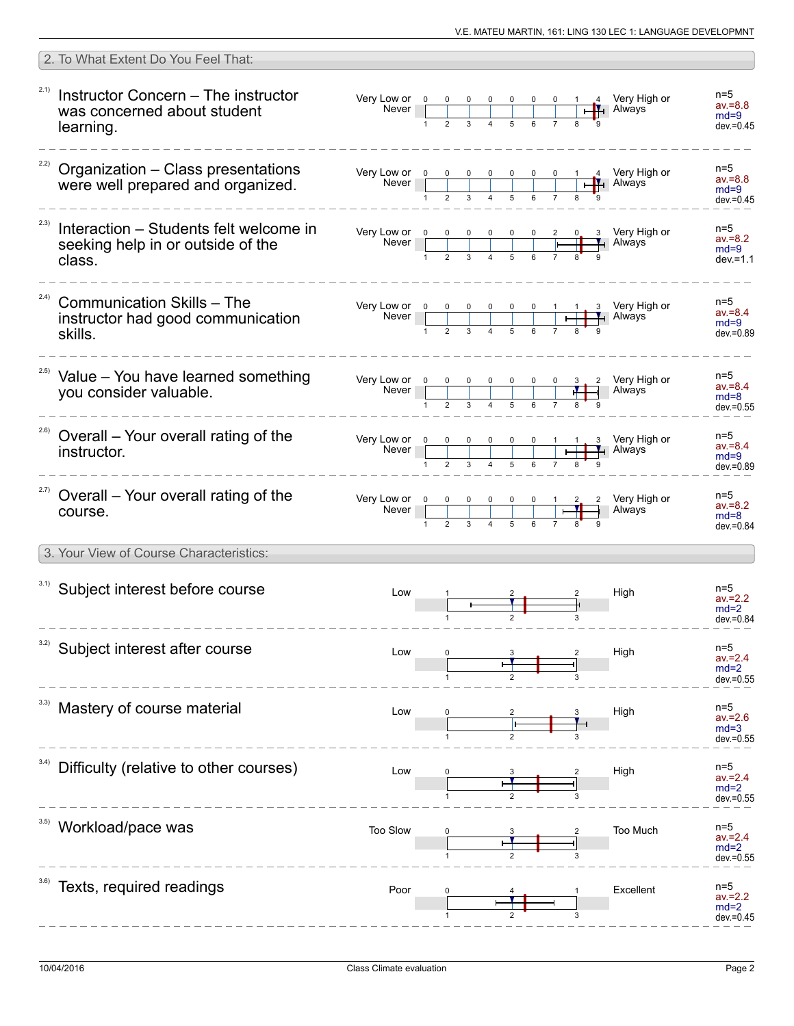|       | 2. To What Extent Do You Feel That:                                                    |                                                                                                                                   |  |  |                                                                                                           |  |                                                                                                                                                       |                                               |
|-------|----------------------------------------------------------------------------------------|-----------------------------------------------------------------------------------------------------------------------------------|--|--|-----------------------------------------------------------------------------------------------------------|--|-------------------------------------------------------------------------------------------------------------------------------------------------------|-----------------------------------------------|
| 2.1)  | Instructor Concern - The instructor<br>was concerned about student<br>learning.        |                                                                                                                                   |  |  |                                                                                                           |  |                                                                                                                                                       | n=5<br>$av = 8.8$<br>$md=9$<br>$dev = 0.45$   |
|       | <sup>22)</sup> Organization - Class presentations<br>were well prepared and organized. |                                                                                                                                   |  |  |                                                                                                           |  |                                                                                                                                                       | n=5<br>$av = 8.8$<br>$md=9$<br>$dev = 0.45$   |
| 2.3)  | Interaction - Students felt welcome in<br>seeking help in or outside of the<br>class.  |                                                                                                                                   |  |  |                                                                                                           |  | Very Low or $\begin{array}{ c c c c c c c c c }\n\hline\n&\text{Never}&0&0&0&0&0&2&0&3&\text{Very High or }\n\hline\n&1&2&3&4&5&6&7&8&9\n\end{array}$ | n=5<br>$av = 8.2$<br>$md=9$<br>$dev = 1.1$    |
| (2.4) | <b>Communication Skills - The</b><br>instructor had good communication<br>skills.      |                                                                                                                                   |  |  |                                                                                                           |  | 3 Very High or<br>$\overline{1}$ Always                                                                                                               | n=5<br>$av = 8.4$<br>$md=9$<br>$dev = 0.89$   |
|       | <sup>2.5)</sup> Value - You have learned something<br>you consider valuable.           |                                                                                                                                   |  |  |                                                                                                           |  | Very Low or $\begin{array}{ c c c c c c }\n\hline\n0 & 0 & 0 & 0 & 0 & 0 & 3 & 2 \\ \hline\n\end{array}$ Very High or Never                           | n=5<br>$av = 8.4$<br>$md = 8$<br>$dev = 0.55$ |
| 2.6)  | Overall – Your overall rating of the<br>instructor.                                    | Very Low or $\overline{0}$<br>Never                                                                                               |  |  | $\begin{array}{c cccc} 0 & 0 & 0 & 0 & 0 & 1 \\ \hline & & & & & \\ 2 & 3 & 4 & 5 & 6 & 7 \\ \end{array}$ |  | 3 Very High or<br>$\blacktriangle$ Always                                                                                                             | n=5<br>$av = 8.4$<br>$md=9$<br>dev.=0.89      |
|       | <sup>2.7)</sup> Overall – Your overall rating of the<br>course.                        | Very Low or $\begin{array}{ c c c c c }\n\hline\n0 & 0 & 0 & 0 & 0 & 0 & 1 \\ \hline\n0 & 1 & 2 & 3 & 4 & 5 & 6 & 7\n\end{array}$ |  |  |                                                                                                           |  | Very High or<br>Always                                                                                                                                | n=5<br>$av = 8.2$<br>$md=8$<br>$dev = 0.84$   |
|       | 3. Your View of Course Characteristics:                                                |                                                                                                                                   |  |  |                                                                                                           |  |                                                                                                                                                       |                                               |
|       | 3.1) Subject interest before course                                                    | Low                                                                                                                               |  |  |                                                                                                           |  | High                                                                                                                                                  | $n=5$<br>$av = 2.2$<br>$md=2$<br>$dev = 0.84$ |
| 3.2)  | Subject interest after course                                                          | Low                                                                                                                               |  |  |                                                                                                           |  | High                                                                                                                                                  | $n=5$<br>$av = 2.4$<br>$md=2$<br>$dev = 0.55$ |
|       | Mastery of course material                                                             | Low                                                                                                                               |  |  |                                                                                                           |  | High                                                                                                                                                  | $n=5$<br>$av = 2.6$<br>$md=3$<br>dev.=0.55    |
| 3.4)  | Difficulty (relative to other courses)                                                 | Low                                                                                                                               |  |  |                                                                                                           |  | High                                                                                                                                                  | $n=5$<br>$av = 2.4$<br>$md=2$<br>$dev = 0.55$ |
|       | Workload/pace was                                                                      | Too Slow                                                                                                                          |  |  |                                                                                                           |  | Too Much                                                                                                                                              | n=5<br>$av = 2.4$<br>$md=2$<br>$dev = 0.55$   |
|       | Texts, required readings                                                               | Poor                                                                                                                              |  |  |                                                                                                           |  | Excellent                                                                                                                                             | $n=5$<br>$av = 2.2$<br>$md=2$<br>$dev = 0.45$ |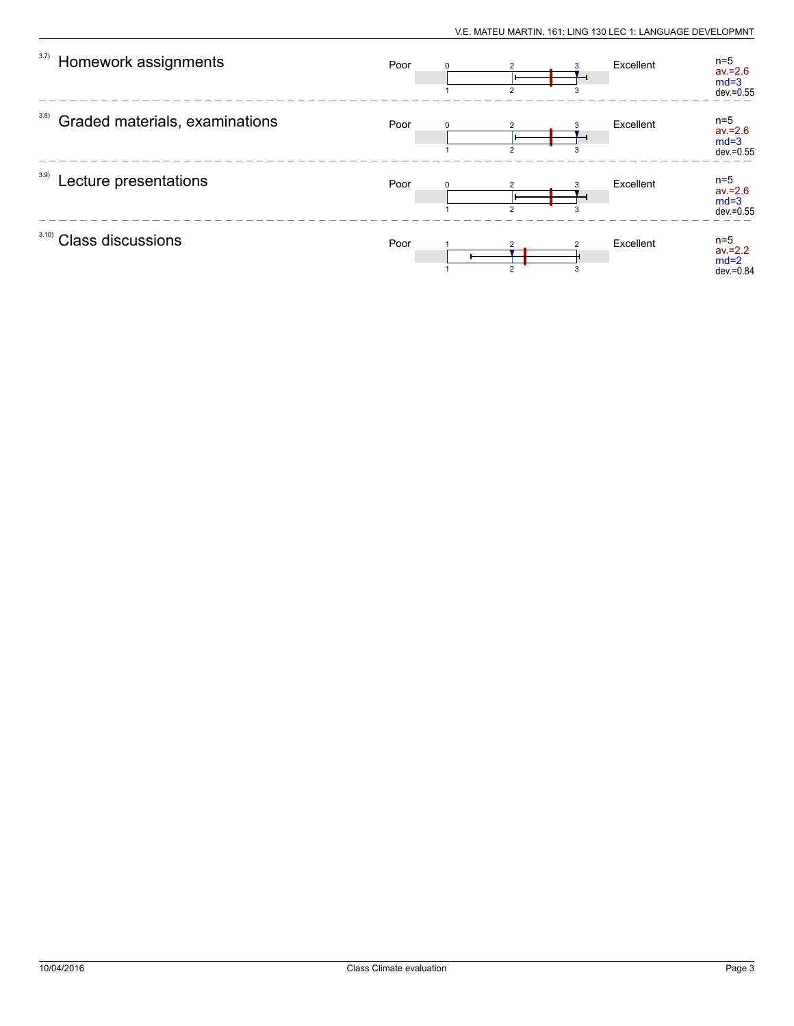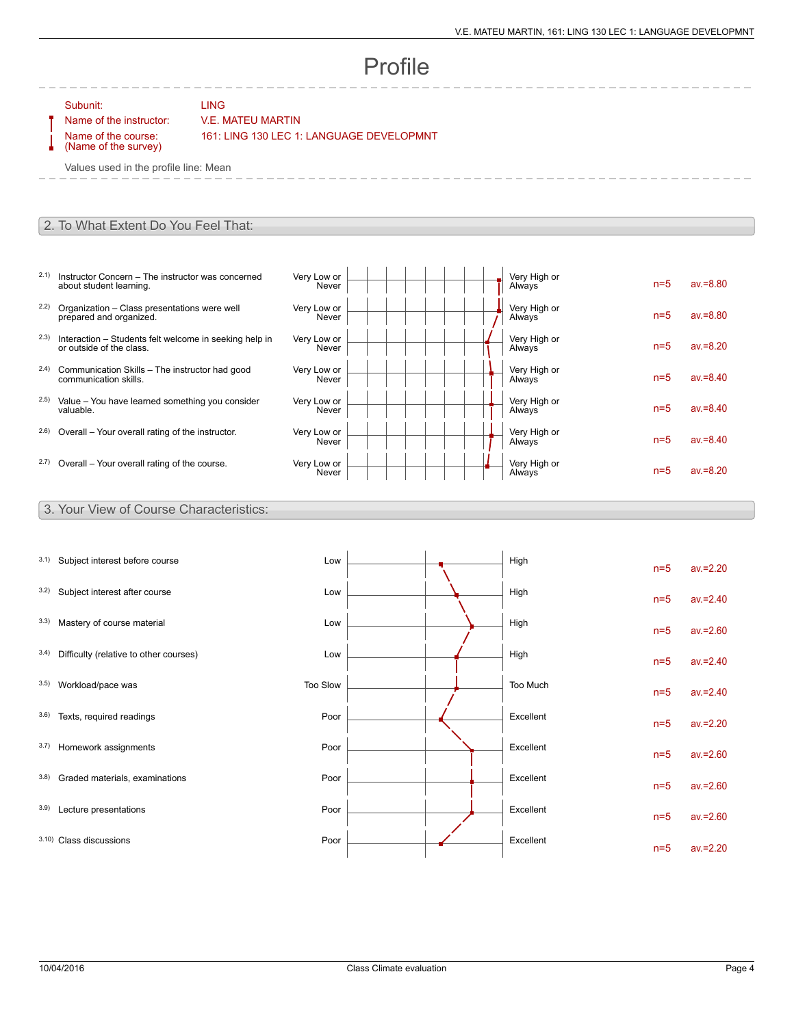# Profile

Subunit: LING

## Name of the instructor: V.E. MATEU MARTIN

Name of the course: (Name of the survey) 161: LING 130 LEC 1: LANGUAGE DEVELOPMNT

Values used in the profile line: Mean

### 2. To What Extent Do You Feel That:

- 2.1) Instructor Concern The instructor was concerned about student learning.
- 2.2) Organization Class presentations were well prepared and organized.
- 2.3) Interaction Students felt welcome in seeking help in or outside of the class.
- 2.4) Communication Skills The instructor had good communication skills.
- 2.5) Value You have learned something you consider valuable.
- $2.6$ ) Overall Your overall rating of the instructor.
- $2.7)$  Overall Your overall rating of the course.

| Very Low or<br>Never | Very High or<br>Always | $n=5$ | $av = 8.80$ |
|----------------------|------------------------|-------|-------------|
| Very Low or<br>Never | Very High or<br>Always | $n=5$ | $av = 8.80$ |
| Very Low or<br>Never | Very High or<br>Always | $n=5$ | $av = 8.20$ |
| Very Low or<br>Never | Very High or<br>Always | $n=5$ | $av = 8.40$ |
| Very Low or<br>Never | Very High or<br>Always | $n=5$ | $av = 8.40$ |
| Very Low or<br>Never | Very High or<br>Always | $n=5$ | $av = 8.40$ |
| Very Low or<br>Never | Very High or<br>Always | $n=5$ | $av = 8.20$ |

### 3. Your View of Course Characteristics:

| 3.1) | Subject interest before course         | Low      | High      | $n=5$ | $av = 2.20$ |
|------|----------------------------------------|----------|-----------|-------|-------------|
| 3.2) | Subject interest after course          | Low      | High      | $n=5$ | $av = 2.40$ |
| 3.3) | Mastery of course material             | Low      | High      | $n=5$ | $av = 2.60$ |
| 3.4) | Difficulty (relative to other courses) | Low      | High      | $n=5$ | $av = 2.40$ |
| 3.5) | Workload/pace was                      | Too Slow | Too Much  | $n=5$ | $av = 2.40$ |
| 3.6) | Texts, required readings               | Poor     | Excellent | $n=5$ | $av = 2.20$ |
| 3.7) | Homework assignments                   | Poor     | Excellent | $n=5$ | $av = 2.60$ |
| 3.8) | Graded materials, examinations         | Poor     | Excellent | $n=5$ | $av = 2.60$ |
| 3.9) | Lecture presentations                  | Poor     | Excellent | $n=5$ | $av = 2.60$ |
|      | 3.10) Class discussions                | Poor     | Excellent | $n=5$ | $av = 2.20$ |